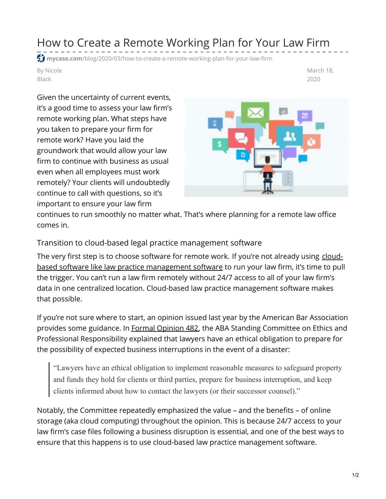## How to Create a Remote Working Plan for Your Law Firm

**mycase.com**[/blog/2020/03/how-to-create-a-remote-working-plan-for-your-law-firm](https://www.mycase.com/blog/2020/03/how-to-create-a-remote-working-plan-for-your-law-firm/)

By Nicole Black

March 18, 2020

Given the uncertainty of current events, it's a good time to assess your law firm's remote working plan. What steps have you taken to prepare your firm for remote work? Have you laid the groundwork that would allow your law firm to continue with business as usual even when all employees must work remotely? Your clients will undoubtedly continue to call with questions, so it's important to ensure your law firm



continues to run smoothly no matter what. That's where planning for a remote law office comes in.

Transition to cloud-based legal practice management software

The very first step is to choose software for remote work. If you're not already using cloudbased software like law practice [management](https://www.mycase.com/features) software to run your law firm, it's time to pull the trigger. You can't run a law firm remotely without 24/7 access to all of your law firm's data in one centralized location. Cloud-based law practice management software makes that possible.

If you're not sure where to start, an opinion issued last year by the American Bar Association provides some guidance. In Formal [Opinion](https://www.americanbar.org/content/dam/aba/administrative/professional_responsibility/aba_formal_opinion_482.pdf) 482, the ABA Standing Committee on Ethics and Professional Responsibility explained that lawyers have an ethical obligation to prepare for the possibility of expected business interruptions in the event of a disaster:

"Lawyers have an ethical obligation to implement reasonable measures to safeguard property and funds they hold for clients or third parties, prepare for business interruption, and keep clients informed about how to contact the lawyers (or their successor counsel)."

Notably, the Committee repeatedly emphasized the value – and the benefits – of online storage (aka cloud computing) throughout the opinion. This is because 24/7 access to your law firm's case files following a business disruption is essential, and one of the best ways to ensure that this happens is to use cloud-based law practice management software.